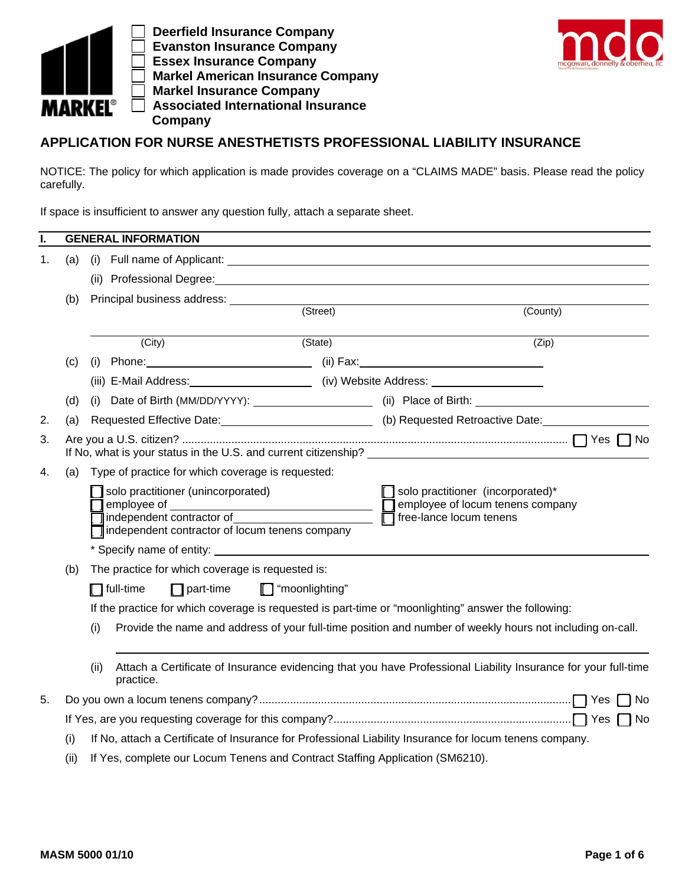

 **Deerfield Insurance Company Evanston Insurance Company Essex Insurance Company Markel American Insurance Company Markel Insurance Company Associated International Insurance Company**



## **APPLICATION FOR NURSE ANESTHETISTS PROFESSIONAL LIABILITY INSURANCE**

NOTICE: The policy for which application is made provides coverage on a "CLAIMS MADE" basis. Please read the policy carefully.

If space is insufficient to answer any question fully, attach a separate sheet.

| I. |                                                               | <b>GENERAL INFORMATION</b>                                                                                                                                                                                                           |          |                                                                                                                |  |  |  |
|----|---------------------------------------------------------------|--------------------------------------------------------------------------------------------------------------------------------------------------------------------------------------------------------------------------------------|----------|----------------------------------------------------------------------------------------------------------------|--|--|--|
| 1. | (a)                                                           | (i) Full name of Applicant: <b>Alternative Contract Contract Contract Contract Contract Contract Contract Contract Contract Contract Contract Contract Contract Contract Contract Contract Contract Contract Contract Contract C</b> |          |                                                                                                                |  |  |  |
|    |                                                               | (ii) Professional Degree: Management of the contract of the contract of the contract of the contract of the contract of the contract of the contract of the contract of the contract of the contract of the contract of the co       |          |                                                                                                                |  |  |  |
|    | (b)                                                           | Principal business address: ____________                                                                                                                                                                                             | (Street) |                                                                                                                |  |  |  |
|    |                                                               |                                                                                                                                                                                                                                      | (County) |                                                                                                                |  |  |  |
|    |                                                               | (City)                                                                                                                                                                                                                               | (State)  | (Zip)                                                                                                          |  |  |  |
|    | (c)                                                           |                                                                                                                                                                                                                                      |          |                                                                                                                |  |  |  |
|    |                                                               | (iii) E-Mail Address: _________________________ (iv) Website Address: ______________________________                                                                                                                                 |          |                                                                                                                |  |  |  |
|    | (d)                                                           |                                                                                                                                                                                                                                      |          | (i) Date of Birth (MM/DD/YYYY): ___________________________(ii) Place of Birth: ____________________           |  |  |  |
| 2. | (a)                                                           |                                                                                                                                                                                                                                      |          | Requested Effective Date: 1988 [10] (b) Requested Retroactive Date:                                            |  |  |  |
| 3. |                                                               | If No, what is your status in the U.S. and current citizenship? ________________                                                                                                                                                     |          |                                                                                                                |  |  |  |
| 4. | (a)                                                           | Type of practice for which coverage is requested:                                                                                                                                                                                    |          |                                                                                                                |  |  |  |
|    |                                                               | solo practitioner (unincorporated)<br>employee of<br><u> 1980 - Johann Barbara, martxa a</u><br>independent contractor of and the state of<br>independent contractor of locum tenens company                                         |          | solo practitioner (incorporated)*<br>employee of locum tenens company<br>$\Box$ free-lance locum tenens        |  |  |  |
|    |                                                               |                                                                                                                                                                                                                                      |          |                                                                                                                |  |  |  |
|    | The practice for which coverage is requested is:<br>(b)       |                                                                                                                                                                                                                                      |          |                                                                                                                |  |  |  |
|    | $\Box$ full-time<br>$\Box$ part-time<br>$\Box$ "moonlighting" |                                                                                                                                                                                                                                      |          |                                                                                                                |  |  |  |
|    |                                                               | If the practice for which coverage is requested is part-time or "moonlighting" answer the following:                                                                                                                                 |          |                                                                                                                |  |  |  |
|    |                                                               | Provide the name and address of your full-time position and number of weekly hours not including on-call.<br>(i)                                                                                                                     |          |                                                                                                                |  |  |  |
|    |                                                               | (ii)<br>practice.                                                                                                                                                                                                                    |          | Attach a Certificate of Insurance evidencing that you have Professional Liability Insurance for your full-time |  |  |  |
| 5. |                                                               |                                                                                                                                                                                                                                      |          | – I No                                                                                                         |  |  |  |
|    |                                                               |                                                                                                                                                                                                                                      |          |                                                                                                                |  |  |  |
|    | (i)                                                           | If No, attach a Certificate of Insurance for Professional Liability Insurance for locum tenens company.                                                                                                                              |          |                                                                                                                |  |  |  |
|    | (ii)                                                          | If Yes, complete our Locum Tenens and Contract Staffing Application (SM6210).                                                                                                                                                        |          |                                                                                                                |  |  |  |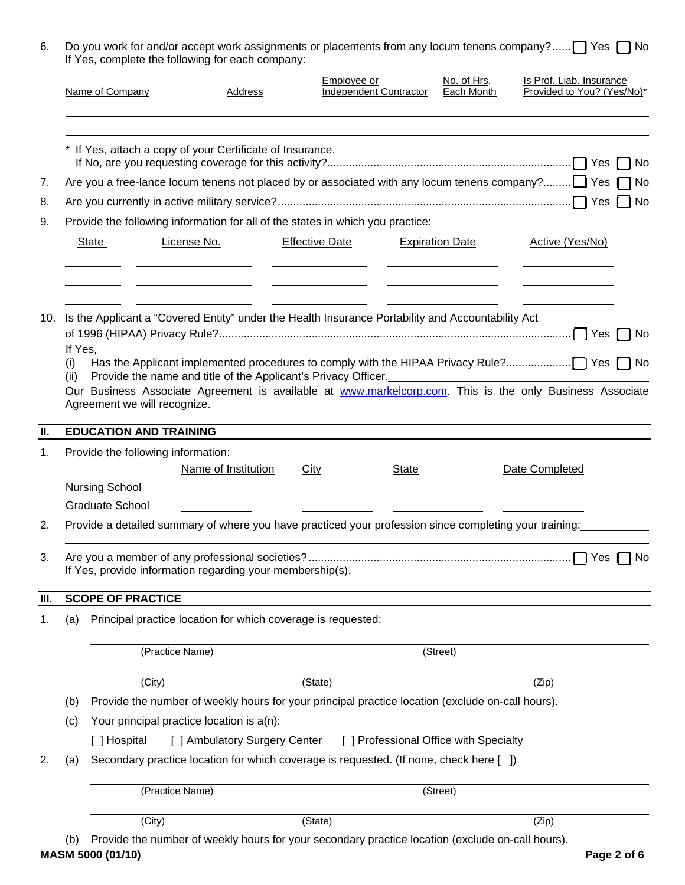| 6. Do you work for and/or accept work assignments or placements from any locum tenens company? Yes no |
|-------------------------------------------------------------------------------------------------------|
| If Yes, complete the following for each company:                                                      |

|      | Name of Company                                                                                                                                                                                                                                                                                                                           |                                                                                                        | <b>Address</b> | Employee or                                                               | <b>Independent Contractor</b> | No. of Hrs.<br><b>Each Month</b>                                                          | Is Prof. Liab. Insurance<br>Provided to You? (Yes/No)*                                            |
|------|-------------------------------------------------------------------------------------------------------------------------------------------------------------------------------------------------------------------------------------------------------------------------------------------------------------------------------------------|--------------------------------------------------------------------------------------------------------|----------------|---------------------------------------------------------------------------|-------------------------------|-------------------------------------------------------------------------------------------|---------------------------------------------------------------------------------------------------|
| 7.   |                                                                                                                                                                                                                                                                                                                                           | * If Yes, attach a copy of your Certificate of Insurance.                                              |                |                                                                           |                               |                                                                                           | Are you a free-lance locum tenens not placed by or associated with any locum tenens company? TYes |
| 8.   |                                                                                                                                                                                                                                                                                                                                           |                                                                                                        |                |                                                                           |                               |                                                                                           |                                                                                                   |
| 9.   |                                                                                                                                                                                                                                                                                                                                           | Provide the following information for all of the states in which you practice:                         |                |                                                                           |                               |                                                                                           |                                                                                                   |
|      | State                                                                                                                                                                                                                                                                                                                                     | License No.<br>the control of the control of the control of the control of                             |                | <b>Effective Date</b><br>and the control of the control of the control of |                               | <b>Expiration Date</b><br>the contract of the contract of the contract of the contract of | Active (Yes/No)                                                                                   |
| 10.  | Is the Applicant a "Covered Entity" under the Health Insurance Portability and Accountability Act<br>If Yes,<br>(i)<br>Provide the name and title of the Applicant's Privacy Officer.<br>(ii)<br>Our Business Associate Agreement is available at www.markelcorp.com. This is the only Business Associate<br>Agreement we will recognize. |                                                                                                        |                |                                                                           |                               |                                                                                           |                                                                                                   |
| II.  |                                                                                                                                                                                                                                                                                                                                           | <b>EDUCATION AND TRAINING</b>                                                                          |                |                                                                           |                               |                                                                                           |                                                                                                   |
| 1.   |                                                                                                                                                                                                                                                                                                                                           | Provide the following information:                                                                     |                |                                                                           |                               |                                                                                           |                                                                                                   |
|      | <b>Nursing School</b><br><b>Graduate School</b>                                                                                                                                                                                                                                                                                           | Name of Institution                                                                                    |                | City                                                                      | <b>State</b>                  |                                                                                           | Date Completed                                                                                    |
| 2.   |                                                                                                                                                                                                                                                                                                                                           | Provide a detailed summary of where you have practiced your profession since completing your training: |                |                                                                           |                               |                                                                                           |                                                                                                   |
| 3.   |                                                                                                                                                                                                                                                                                                                                           | If Yes, provide information regarding your membership(s). ______________________                       |                |                                                                           |                               |                                                                                           | No                                                                                                |
| III. | <b>SCOPE OF PRACTICE</b>                                                                                                                                                                                                                                                                                                                  |                                                                                                        |                |                                                                           |                               |                                                                                           |                                                                                                   |
| 1.   | (a)                                                                                                                                                                                                                                                                                                                                       | Principal practice location for which coverage is requested:                                           |                |                                                                           |                               |                                                                                           |                                                                                                   |
|      |                                                                                                                                                                                                                                                                                                                                           | (Practice Name)                                                                                        |                |                                                                           |                               | (Street)                                                                                  |                                                                                                   |
|      |                                                                                                                                                                                                                                                                                                                                           | (City)                                                                                                 |                | (State)                                                                   |                               |                                                                                           | (Zip)                                                                                             |
|      | (b)                                                                                                                                                                                                                                                                                                                                       | Provide the number of weekly hours for your principal practice location (exclude on-call hours).       |                |                                                                           |                               |                                                                                           |                                                                                                   |
|      | Your principal practice location is a(n):<br>(c)                                                                                                                                                                                                                                                                                          |                                                                                                        |                |                                                                           |                               |                                                                                           |                                                                                                   |
|      | [ ] Hospital                                                                                                                                                                                                                                                                                                                              | [ ] Ambulatory Surgery Center                                                                          |                |                                                                           |                               | [ ] Professional Office with Specialty                                                    |                                                                                                   |
| 2.   | (a)                                                                                                                                                                                                                                                                                                                                       | Secondary practice location for which coverage is requested. (If none, check here [ ])                 |                |                                                                           |                               |                                                                                           |                                                                                                   |
|      |                                                                                                                                                                                                                                                                                                                                           | (Practice Name)                                                                                        |                |                                                                           |                               | (Street)                                                                                  |                                                                                                   |
|      |                                                                                                                                                                                                                                                                                                                                           | (City)                                                                                                 |                | (State)                                                                   |                               |                                                                                           | (Zip)                                                                                             |
|      | (b)                                                                                                                                                                                                                                                                                                                                       | Provide the number of weekly hours for your secondary practice location (exclude on-call hours).       |                |                                                                           |                               |                                                                                           |                                                                                                   |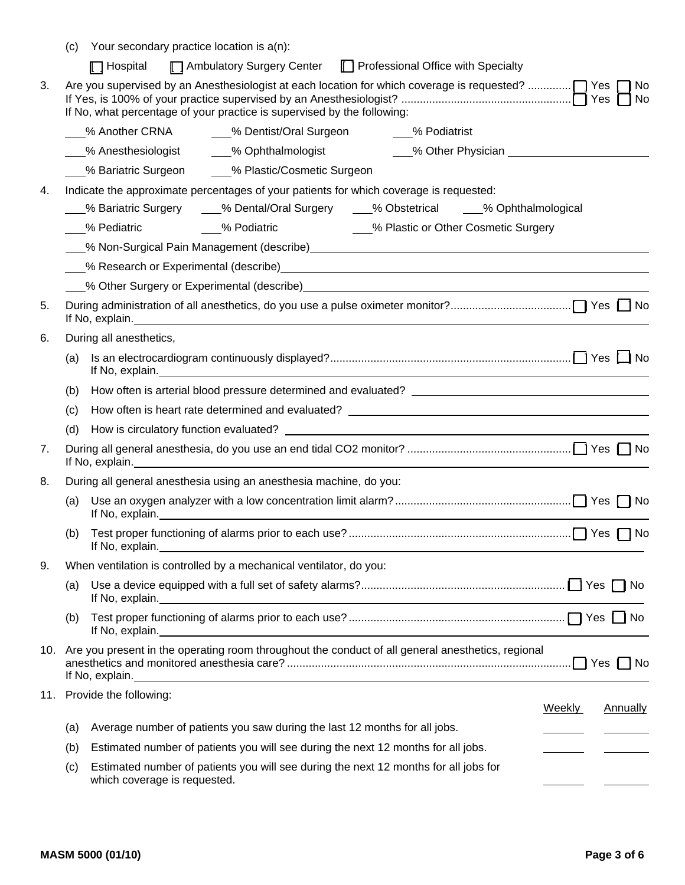|    | (c)                     | Your secondary practice location is a(n):                                                                                                                                                                                      |  |  |  |  |
|----|-------------------------|--------------------------------------------------------------------------------------------------------------------------------------------------------------------------------------------------------------------------------|--|--|--|--|
|    |                         | Ambulatory Surgery Center   Professional Office with Specialty<br>$\Box$ Hospital                                                                                                                                              |  |  |  |  |
| 3. |                         | Are you supervised by an Anesthesiologist at each location for which coverage is requested? $\bigcap$ Yes $\bigcap$<br>  No<br>If No, what percentage of your practice is supervised by the following:                         |  |  |  |  |
|    |                         |                                                                                                                                                                                                                                |  |  |  |  |
|    |                         | 6 Mesthesiologist 1986 Mohthalmologist 1988 Moher Physician                                                                                                                                                                    |  |  |  |  |
|    |                         | 6 % Bariatric Surgeon  2% Plastic/Cosmetic Surgeon                                                                                                                                                                             |  |  |  |  |
| 4. |                         | Indicate the approximate percentages of your patients for which coverage is requested:                                                                                                                                         |  |  |  |  |
|    |                         | ___% Bariatric Surgery ____% Dental/Oral Surgery ____% Obstetrical ____% Ophthalmological                                                                                                                                      |  |  |  |  |
|    |                         | ___% Pediatric __________% Podiatric ________________% Plastic or Other Cosmetic Surgery                                                                                                                                       |  |  |  |  |
|    |                         | 6. Mon-Surgical Pain Management (describe) Manual Content Content Content Content Content Content Content Content Content Content Content Content Content Content Content Content Content Content Content Content Content Cont |  |  |  |  |
|    |                         |                                                                                                                                                                                                                                |  |  |  |  |
|    |                         |                                                                                                                                                                                                                                |  |  |  |  |
| 5. |                         |                                                                                                                                                                                                                                |  |  |  |  |
| 6. | During all anesthetics, |                                                                                                                                                                                                                                |  |  |  |  |
|    | (a)                     |                                                                                                                                                                                                                                |  |  |  |  |
|    | (b)                     |                                                                                                                                                                                                                                |  |  |  |  |
|    | (c)                     | How often is heart rate determined and evaluated? _______________________________                                                                                                                                              |  |  |  |  |
|    | (d)                     |                                                                                                                                                                                                                                |  |  |  |  |
| 7. |                         | If No, explain.<br><u> 1989 - Johann Stoff, amerikansk politiker (d. 1989)</u>                                                                                                                                                 |  |  |  |  |
| 8. |                         | During all general anesthesia using an anesthesia machine, do you:                                                                                                                                                             |  |  |  |  |
|    | (a)                     |                                                                                                                                                                                                                                |  |  |  |  |
|    | (b)                     | If No, explain.                                                                                                                                                                                                                |  |  |  |  |
| 9. |                         | When ventilation is controlled by a mechanical ventilator, do you:                                                                                                                                                             |  |  |  |  |
|    | (a)                     |                                                                                                                                                                                                                                |  |  |  |  |
|    | (b)                     | If No, explain.<br><u> 1980 - Johann Stoff, deutscher Stoffen und der Stoffen und der Stoffen und der Stoffen und der Stoffen und de</u>                                                                                       |  |  |  |  |
|    |                         | 10. Are you present in the operating room throughout the conduct of all general anesthetics, regional<br>If No, explain.<br><u> 1989 - Johann Stoff, amerikansk politiker (d. 1989)</u>                                        |  |  |  |  |
|    |                         | 11. Provide the following:<br><b>Annually</b><br><b>Weekly</b>                                                                                                                                                                 |  |  |  |  |
|    | (a)                     | Average number of patients you saw during the last 12 months for all jobs.                                                                                                                                                     |  |  |  |  |
|    | (b)                     | Estimated number of patients you will see during the next 12 months for all jobs.                                                                                                                                              |  |  |  |  |
|    | (c)                     | Estimated number of patients you will see during the next 12 months for all jobs for                                                                                                                                           |  |  |  |  |
|    |                         | which coverage is requested.                                                                                                                                                                                                   |  |  |  |  |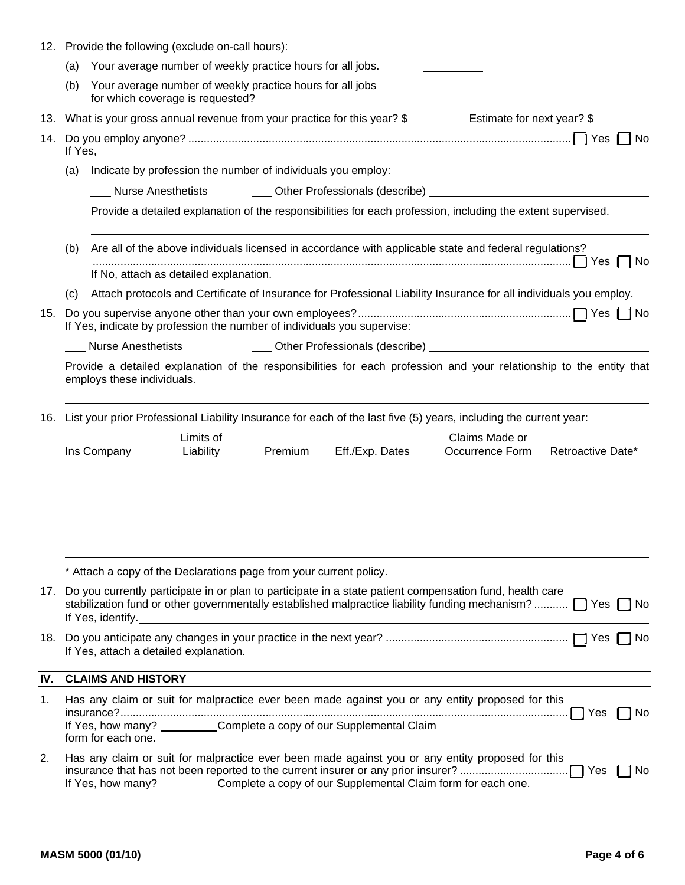|     | 12. Provide the following (exclude on-call hours):                                                                |                                                                                                                                                                                                                                                                                                                                                                               |  |  |  |  |  |
|-----|-------------------------------------------------------------------------------------------------------------------|-------------------------------------------------------------------------------------------------------------------------------------------------------------------------------------------------------------------------------------------------------------------------------------------------------------------------------------------------------------------------------|--|--|--|--|--|
|     | (a)                                                                                                               | Your average number of weekly practice hours for all jobs.                                                                                                                                                                                                                                                                                                                    |  |  |  |  |  |
|     | (b)                                                                                                               | Your average number of weekly practice hours for all jobs<br>for which coverage is requested?                                                                                                                                                                                                                                                                                 |  |  |  |  |  |
|     |                                                                                                                   | 13. What is your gross annual revenue from your practice for this year? \$ Estimate for next year? \$                                                                                                                                                                                                                                                                         |  |  |  |  |  |
| 14. | If Yes,                                                                                                           |                                                                                                                                                                                                                                                                                                                                                                               |  |  |  |  |  |
|     | (a)                                                                                                               | Indicate by profession the number of individuals you employ:                                                                                                                                                                                                                                                                                                                  |  |  |  |  |  |
|     |                                                                                                                   | Other Professionals (describe) <b>contained a material container and container and container and container</b><br><b>Nurse Anesthetists</b>                                                                                                                                                                                                                                   |  |  |  |  |  |
|     |                                                                                                                   | Provide a detailed explanation of the responsibilities for each profession, including the extent supervised.                                                                                                                                                                                                                                                                  |  |  |  |  |  |
|     | Are all of the above individuals licensed in accordance with applicable state and federal regulations?<br>(b)     |                                                                                                                                                                                                                                                                                                                                                                               |  |  |  |  |  |
|     |                                                                                                                   | If No, attach as detailed explanation.                                                                                                                                                                                                                                                                                                                                        |  |  |  |  |  |
|     | (c)                                                                                                               | Attach protocols and Certificate of Insurance for Professional Liability Insurance for all individuals you employ.                                                                                                                                                                                                                                                            |  |  |  |  |  |
| 15. |                                                                                                                   | If Yes, indicate by profession the number of individuals you supervise:                                                                                                                                                                                                                                                                                                       |  |  |  |  |  |
|     |                                                                                                                   | <b>Nurse Anesthetists</b>                                                                                                                                                                                                                                                                                                                                                     |  |  |  |  |  |
|     |                                                                                                                   | Provide a detailed explanation of the responsibilities for each profession and your relationship to the entity that                                                                                                                                                                                                                                                           |  |  |  |  |  |
| 16. | List your prior Professional Liability Insurance for each of the last five (5) years, including the current year: |                                                                                                                                                                                                                                                                                                                                                                               |  |  |  |  |  |
|     |                                                                                                                   | Limits of<br>Claims Made or<br>Premium<br>Ins Company<br>Liability<br>Eff./Exp. Dates<br>Occurrence Form Retroactive Date*                                                                                                                                                                                                                                                    |  |  |  |  |  |
|     |                                                                                                                   |                                                                                                                                                                                                                                                                                                                                                                               |  |  |  |  |  |
|     |                                                                                                                   | * Attach a copy of the Declarations page from your current policy.                                                                                                                                                                                                                                                                                                            |  |  |  |  |  |
|     |                                                                                                                   | 17. Do you currently participate in or plan to participate in a state patient compensation fund, health care<br>stabilization fund or other governmentally established malpractice liability funding mechanism? [7] Yes [7] No<br>If Yes, identify.<br><u> 1989 - Johann Stoff, deutscher Stoffen und der Stoffen und der Stoffen und der Stoffen und der Stoffen und der</u> |  |  |  |  |  |
|     |                                                                                                                   | If Yes, attach a detailed explanation.                                                                                                                                                                                                                                                                                                                                        |  |  |  |  |  |
| IV. |                                                                                                                   | <b>CLAIMS AND HISTORY</b>                                                                                                                                                                                                                                                                                                                                                     |  |  |  |  |  |
| 1.  |                                                                                                                   | Has any claim or suit for malpractice ever been made against you or any entity proposed for this<br>1 1 No                                                                                                                                                                                                                                                                    |  |  |  |  |  |
|     |                                                                                                                   | If Yes, how many? __________Complete a copy of our Supplemental Claim<br>form for each one.                                                                                                                                                                                                                                                                                   |  |  |  |  |  |
| 2.  |                                                                                                                   | Has any claim or suit for malpractice ever been made against you or any entity proposed for this<br>If Yes, how many? ___________Complete a copy of our Supplemental Claim form for each one.                                                                                                                                                                                 |  |  |  |  |  |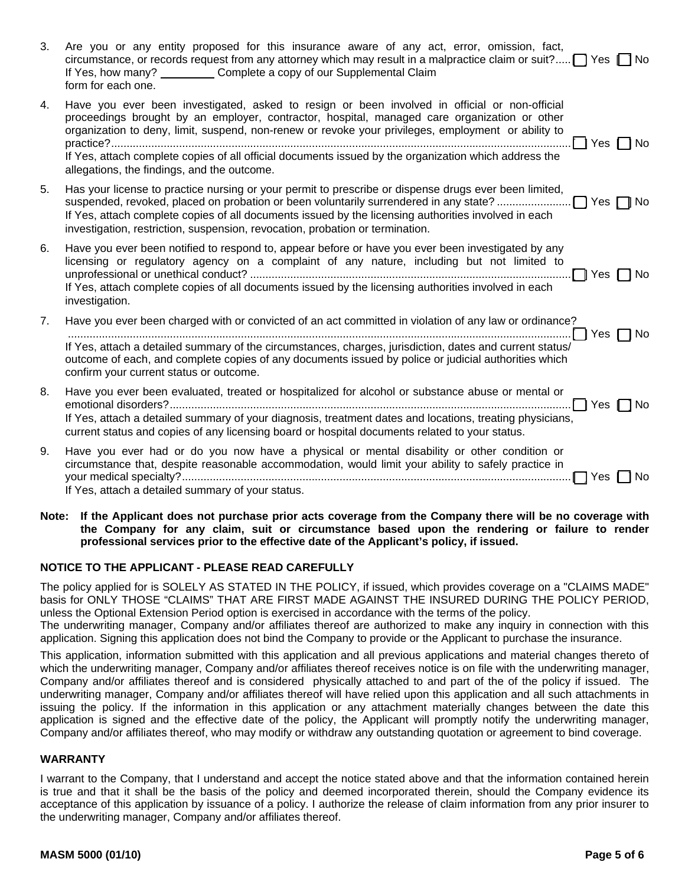| 3. | Are you or any entity proposed for this insurance aware of any act, error, omission, fact,<br>circumstance, or records request from any attorney which may result in a malpractice claim or suit? $\Box$ Yes $\Box$ No<br>If Yes, how many? Complete a copy of our Supplemental Claim<br>form for each one.                                                                                                                                                                   |
|----|-------------------------------------------------------------------------------------------------------------------------------------------------------------------------------------------------------------------------------------------------------------------------------------------------------------------------------------------------------------------------------------------------------------------------------------------------------------------------------|
| 4. | Have you ever been investigated, asked to resign or been involved in official or non-official<br>proceedings brought by an employer, contractor, hospital, managed care organization or other<br>organization to deny, limit, suspend, non-renew or revoke your privileges, employment or ability to<br>Yes $\Box$ No<br>If Yes, attach complete copies of all official documents issued by the organization which address the<br>allegations, the findings, and the outcome. |
| 5. | Has your license to practice nursing or your permit to prescribe or dispense drugs ever been limited,<br>If Yes, attach complete copies of all documents issued by the licensing authorities involved in each<br>investigation, restriction, suspension, revocation, probation or termination.                                                                                                                                                                                |
| 6. | Have you ever been notified to respond to, appear before or have you ever been investigated by any<br>licensing or regulatory agency on a complaint of any nature, including but not limited to<br>If Yes, attach complete copies of all documents issued by the licensing authorities involved in each<br>investigation.                                                                                                                                                     |
| 7. | Have you ever been charged with or convicted of an act committed in violation of any law or ordinance?<br>$\Box$ Yes $\Box$ No<br>If Yes, attach a detailed summary of the circumstances, charges, jurisdiction, dates and current status/<br>outcome of each, and complete copies of any documents issued by police or judicial authorities which<br>confirm your current status or outcome.                                                                                 |
| 8. | Have you ever been evaluated, treated or hospitalized for alcohol or substance abuse or mental or<br>$\bigcap$ Yes $\bigcap$ No<br>If Yes, attach a detailed summary of your diagnosis, treatment dates and locations, treating physicians,<br>current status and copies of any licensing board or hospital documents related to your status.                                                                                                                                 |
| 9. | Have you ever had or do you now have a physical or mental disability or other condition or<br>circumstance that, despite reasonable accommodation, would limit your ability to safely practice in<br>- 1 No<br>Yes I<br>If Yes, attach a detailed summary of your status.                                                                                                                                                                                                     |

**Note: If the Applicant does not purchase prior acts coverage from the Company there will be no coverage with the Company for any claim, suit or circumstance based upon the rendering or failure to render professional services prior to the effective date of the Applicant's policy, if issued.** 

## **NOTICE TO THE APPLICANT - PLEASE READ CAREFULLY**

The policy applied for is SOLELY AS STATED IN THE POLICY, if issued, which provides coverage on a "CLAIMS MADE" basis for ONLY THOSE "CLAIMS" THAT ARE FIRST MADE AGAINST THE INSURED DURING THE POLICY PERIOD, unless the Optional Extension Period option is exercised in accordance with the terms of the policy.

The underwriting manager, Company and/or affiliates thereof are authorized to make any inquiry in connection with this application. Signing this application does not bind the Company to provide or the Applicant to purchase the insurance.

This application, information submitted with this application and all previous applications and material changes thereto of which the underwriting manager, Company and/or affiliates thereof receives notice is on file with the underwriting manager, Company and/or affiliates thereof and is considered physically attached to and part of the of the policy if issued. The underwriting manager, Company and/or affiliates thereof will have relied upon this application and all such attachments in issuing the policy. If the information in this application or any attachment materially changes between the date this application is signed and the effective date of the policy, the Applicant will promptly notify the underwriting manager, Company and/or affiliates thereof, who may modify or withdraw any outstanding quotation or agreement to bind coverage.

## **WARRANTY**

I warrant to the Company, that I understand and accept the notice stated above and that the information contained herein is true and that it shall be the basis of the policy and deemed incorporated therein, should the Company evidence its acceptance of this application by issuance of a policy. I authorize the release of claim information from any prior insurer to the underwriting manager, Company and/or affiliates thereof.